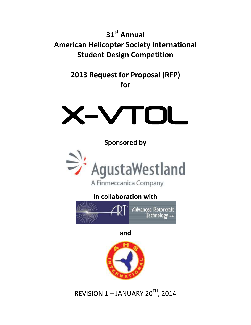**31st Annual American Helicopter Society International Student Design Competition**

> **2013 Request for Proposal (RFP) for**



**Sponsored by**



# **In collaboration with**



**and**



REVISION 1 – JANUARY 20<sup>TH</sup>, 2014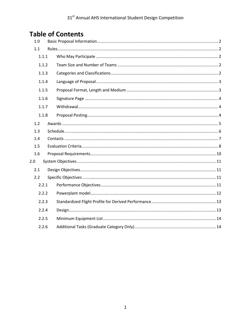# **Table of Contents**

| 1.0   |  |  |  |  |  |
|-------|--|--|--|--|--|
| 1.1   |  |  |  |  |  |
| 1.1.1 |  |  |  |  |  |
| 1.1.2 |  |  |  |  |  |
| 1.1.3 |  |  |  |  |  |
| 1.1.4 |  |  |  |  |  |
| 1.1.5 |  |  |  |  |  |
| 1.1.6 |  |  |  |  |  |
| 1.1.7 |  |  |  |  |  |
| 1.1.8 |  |  |  |  |  |
| 1.2   |  |  |  |  |  |
| 1.3   |  |  |  |  |  |
| 1.4   |  |  |  |  |  |
| 1.5   |  |  |  |  |  |
| 1.6   |  |  |  |  |  |
| 2.0   |  |  |  |  |  |
| 2.1   |  |  |  |  |  |
| 2.2   |  |  |  |  |  |
| 2.2.1 |  |  |  |  |  |
| 2.2.2 |  |  |  |  |  |
| 2.2.3 |  |  |  |  |  |
| 2.2.4 |  |  |  |  |  |
| 2.2.5 |  |  |  |  |  |
| 2.2.6 |  |  |  |  |  |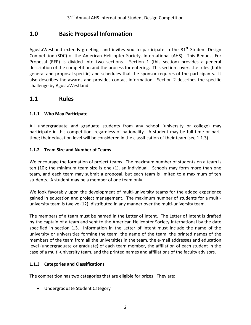## <span id="page-2-0"></span>**1.0 Basic Proposal Information**

AgustaWestland extends greetings and invites you to participate in the  $31<sup>st</sup>$  Student Design Competition (SDC) of the American Helicopter Society, International (AHS). This Request For Proposal (RFP) is divided into two sections. Section 1 (this section) provides a general description of the competition and the process for entering. This section covers the rules (both general and proposal specific) and schedules that the sponsor requires of the participants. It also describes the awards and provides contact information. Section 2 describes the specific challenge by AgustaWestland.

### <span id="page-2-1"></span>**1.1 Rules**

#### <span id="page-2-2"></span>**1.1.1 Who May Participate**

All undergraduate and graduate students from any school (university or college) may participate in this competition, regardless of nationality. A student may be full-time or parttime; their education level will be considered in the classification of their team (see 1.1.3).

#### <span id="page-2-3"></span>**1.1.2 Team Size and Number of Teams**

We encourage the formation of project teams. The maximum number of students on a team is ten (10); the minimum team size is one (1), an individual. Schools may form more than one team, and each team may submit a proposal, but each team is limited to a maximum of ten students. A student may be a member of one team only.

We look favorably upon the development of multi-university teams for the added experience gained in education and project management. The maximum number of students for a multiuniversity team is twelve (12), distributed in any manner over the multi-university team.

The members of a team must be named in the Letter of Intent. The Letter of Intent is drafted by the captain of a team and sent to the American Helicopter Society International by the date specified in section 1.3. Information in the Letter of Intent must include the name of the university or universities forming the team, the name of the team, the printed names of the members of the team from all the universities in the team, the e-mail addresses and education level (undergraduate or graduate) of each team member, the affiliation of each student in the case of a multi-university team, and the printed names and affiliations of the faculty advisors.

#### <span id="page-2-4"></span>**1.1.3 Categories and Classifications**

The competition has two categories that are eligible for prizes. They are:

Undergraduate Student Category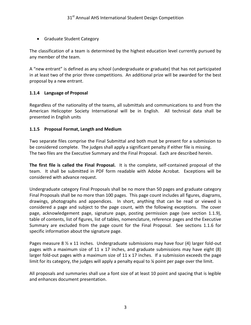Graduate Student Category

The classification of a team is determined by the highest education level currently pursued by any member of the team.

A "new entrant" is defined as any school (undergraduate or graduate) that has not participated in at least two of the prior three competitions. An additional prize will be awarded for the best proposal by a new entrant.

#### <span id="page-3-0"></span>**1.1.4 Language of Proposal**

Regardless of the nationality of the teams, all submittals and communications to and from the American Helicopter Society International will be in English. All technical data shall be presented in English units

#### <span id="page-3-1"></span>**1.1.5 Proposal Format, Length and Medium**

Two separate files comprise the Final Submittal and both must be present for a submission to be considered complete. The judges shall apply a significant penalty if either file is missing. The two files are the Executive Summary and the Final Proposal. Each are described herein.

**The first file is called the Final Proposal.** It is the complete, self-contained proposal of the team. It shall be submitted in PDF form readable with Adobe Acrobat. Exceptions will be considered with advance request.

Undergraduate category Final Proposals shall be no more than 50 pages and graduate category Final Proposals shall be no more than 100 pages. This page count includes all figures, diagrams, drawings, photographs and appendices. In short, anything that can be read or viewed is considered a page and subject to the page count, with the following exceptions. The cover page, acknowledgement page, signature page, posting permission page (see section 1.1.9), table of contents, list of figures, list of tables, nomenclature, reference pages and the Executive Summary are excluded from the page count for the Final Proposal. See sections 1.1.6 for specific information about the signature page.

Pages measure 8  $\frac{1}{2}$  x 11 inches. Undergraduate submissions may have four (4) larger fold-out pages with a maximum size of 11 x 17 inches, and graduate submissions may have eight (8) larger fold-out pages with a maximum size of  $11 \times 17$  inches. If a submission exceeds the page limit for its category, the judges will apply a penalty equal to % point per page over the limit.

All proposals and summaries shall use a font size of at least 10 point and spacing that is legible and enhances document presentation.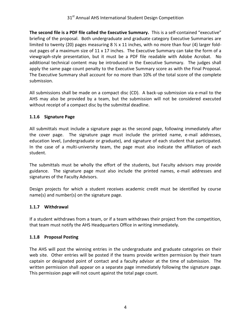**The second file is a PDF file called the Executive Summary.** This is a self-contained "executive" briefing of the proposal. Both undergraduate and graduate category Executive Summaries are limited to twenty (20) pages measuring  $8 \frac{1}{2} \times 11$  inches, with no more than four (4) larger foldout pages of a maximum size of 11 x 17 inches. The Executive Summary can take the form of a viewgraph-style presentation, but it must be a PDF file readable with Adobe Acrobat. No additional technical content may be introduced in the Executive Summary. The judges shall apply the same page count penalty to the Executive Summary score as with the Final Proposal. The Executive Summary shall account for no more than 10% of the total score of the complete submission.

All submissions shall be made on a compact disc (CD). A back-up submission via e-mail to the AHS may also be provided by a team, but the submission will not be considered executed without receipt of a compact disc by the submittal deadline.

#### <span id="page-4-0"></span>**1.1.6 Signature Page**

All submittals must include a signature page as the second page, following immediately after the cover page. The signature page must include the printed name, e-mail addresses, education level, (undergraduate or graduate), and signature of each student that participated. In the case of a multi-university team, the page must also indicate the affiliation of each student.

The submittals must be wholly the effort of the students, but Faculty advisors may provide guidance. The signature page must also include the printed names, e-mail addresses and signatures of the Faculty Advisors.

Design projects for which a student receives academic credit must be identified by course name(s) and number(s) on the signature page.

#### <span id="page-4-1"></span>**1.1.7 Withdrawal**

If a student withdraws from a team, or if a team withdraws their project from the competition, that team must notify the AHS Headquarters Office in writing immediately.

#### <span id="page-4-2"></span>**1.1.8 Proposal Posting**

The AHS will post the winning entries in the undergraduate and graduate categories on their web site. Other entries will be posted if the teams provide written permission by their team captain or designated point of contact and a faculty advisor at the time of submission. The written permission shall appear on a separate page immediately following the signature page. This permission page will not count against the total page count.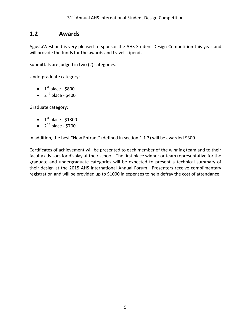### <span id="page-5-0"></span>**1.2 Awards**

AgustaWestland is very pleased to sponsor the AHS Student Design Competition this year and will provide the funds for the awards and travel stipends.

Submittals are judged in two (2) categories.

Undergraduate category:

- $\bullet$  1<sup>st</sup> place \$800
- $\bullet$  2<sup>nd</sup> place \$400

Graduate category:

- $\bullet$  1<sup>st</sup> place \$1300
- $\bullet$  2<sup>nd</sup> place \$700

In addition, the best "New Entrant" (defined in section 1.1.3) will be awarded \$300.

Certificates of achievement will be presented to each member of the winning team and to their faculty advisors for display at their school. The first place winner or team representative for the graduate and undergraduate categories will be expected to present a technical summary of their design at the 2015 AHS International Annual Forum. Presenters receive complimentary registration and will be provided up to \$1000 in expenses to help defray the cost of attendance.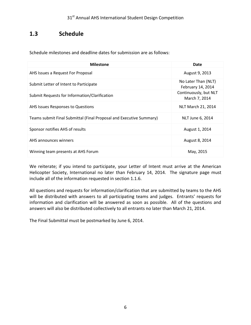## <span id="page-6-0"></span>**1.3 Schedule**

Schedule milestones and deadline dates for submission are as follows:

| <b>Milestone</b>                                                    | Date                                     |
|---------------------------------------------------------------------|------------------------------------------|
| AHS Issues a Request For Proposal                                   | August 9, 2013                           |
| Submit Letter of Intent to Participate                              | No Later Than (NLT)<br>February 14, 2014 |
| Submit Requests for Information/Clarification                       | Continuously, but NLT<br>March 7, 2014   |
| AHS Issues Responses to Questions                                   | NLT March 21, 2014                       |
| Teams submit Final Submittal (Final Proposal and Executive Summary) | NLT June 6, 2014                         |
| Sponsor notifies AHS of results                                     | August 1, 2014                           |
| AHS announces winners                                               | August 8, 2014                           |
| Winning team presents at AHS Forum                                  | May, 2015                                |

We reiterate; if you intend to participate, your Letter of Intent must arrive at the American Helicopter Society, International no later than February 14, 2014. The signature page must include all of the information requested in section 1.1.6.

All questions and requests for information/clarification that are submitted by teams to the AHS will be distributed with answers to all participating teams and judges. Entrants' requests for information and clarification will be answered as soon as possible. All of the questions and answers will also be distributed collectively to all entrants no later than March 21, 2014.

The Final Submittal must be postmarked by June 6, 2014.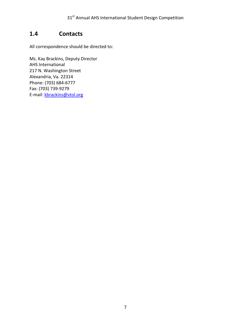## <span id="page-7-0"></span>**1.4 Contacts**

All correspondence should be directed to:

Ms. Kay Brackins, Deputy Director AHS International 217 N. Washington Street Alexandria, Va. 22314 Phone: (703) 684-6777 Fax: (703) 739-9279 E-mail: [kbrackins@vtol.org](mailto:kbrackins@vtol.org)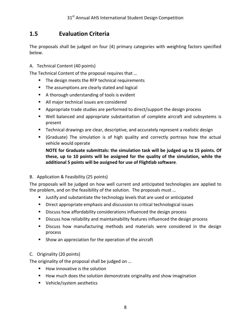# <span id="page-8-0"></span>**1.5 Evaluation Criteria**

The proposals shall be judged on four (4) primary categories with weighting factors specified below.

#### A. Technical Content (40 points)

The Technical Content of the proposal requires that …

- The design meets the RFP technical requirements
- **The assumptions are clearly stated and logical**
- A thorough understanding of tools is evident
- All major technical issues are considered
- **•** Appropriate trade studies are performed to direct/support the design process
- Well balanced and appropriate substantiation of complete aircraft and subsystems is present
- Technical drawings are clear, descriptive, and accurately represent a realistic design
- (Graduate) The simulation is of high quality and correctly portrays how the actual vehicle would operate

**NOTE for Graduate submittals: the simulation task will be judged up to 15 points. Of these, up to 10 points will be assigned for the quality of the simulation, while the additional 5 points will be assigned for use of Flightlab software**.

#### B. Application & Feasibility (25 points)

The proposals will be judged on how well current and anticipated technologies are applied to the problem, and on the feasibility of the solution. The proposals must …

- Justify and substantiate the technology levels that are used or anticipated
- Direct appropriate emphasis and discussion to critical technological issues
- **Discuss how affordability considerations influenced the design process**
- Discuss how reliability and maintainability features influenced the design process
- Discuss how manufacturing methods and materials were considered in the design process
- **Show an appreciation for the operation of the aircraft**

#### C. Originality (20 points)

The originality of the proposal shall be judged on …

- How innovative is the solution
- How much does the solution demonstrate originality and show imagination
- **Vehicle/system aesthetics**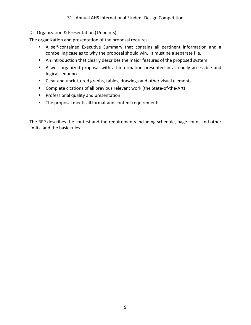#### 31<sup>st</sup> Annual AHS International Student Design Competition

#### D. Organization & Presentation (15 points)

The organization and presentation of the proposal requires …

- A self-contained Executive Summary that contains all pertinent information and a compelling case as to why the proposal should win. It must be a separate file.
- An introduction that clearly describes the major features of the proposed system
- A well organized proposal with all information presented in a readily accessible and logical sequence
- Clear and uncluttered graphs, tables, drawings and other visual elements
- Complete citations of all previous relevant work (the State-of-the-Art)
- **Professional quality and presentation**
- **The proposal meets all format and content requirements**

The RFP describes the contest and the requirements including schedule, page count and other limits, and the basic rules.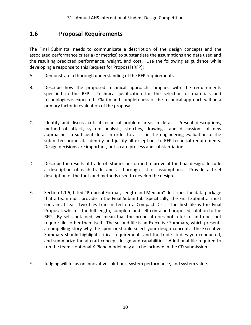### <span id="page-10-0"></span>**1.6 Proposal Requirements**

The Final Submittal needs to communicate a description of the design concepts and the associated performance criteria (or metrics) to substantiate the assumptions and data used and the resulting predicted performance, weight, and cost. Use the following as guidance while developing a response to this Request for Proposal (RFP):

- A. Demonstrate a thorough understanding of the RFP requirements.
- B. Describe how the proposed technical approach complies with the requirements specified in the RFP. Technical justification for the selection of materials and technologies is expected. Clarity and completeness of the technical approach will be a primary factor in evaluation of the proposals.
- C. Identify and discuss critical technical problem areas in detail. Present descriptions, method of attack, system analysis, sketches, drawings, and discussions of new approaches in sufficient detail in order to assist in the engineering evaluation of the submitted proposal. Identify and justify all exceptions to RFP technical requirements. Design decisions are important, but so are process and substantiation.
- D. Describe the results of trade-off studies performed to arrive at the final design. Include a description of each trade and a thorough list of assumptions. Provide a brief description of the tools and methods used to develop the design.
- E. Section 1.1.5, titled "Proposal Format, Length and Medium" describes the data package that a team must provide in the Final Submittal. Specifically, the Final Submittal must contain at least two files transmitted on a Compact Disc. The first file is the Final Proposal, which is the full length, complete and self-contained proposed solution to the RFP. By self-contained, we mean that the proposal does not refer to and does not require files other than itself. The second file is an Executive Summary, which presents a compelling story why the sponsor should select your design concept. The Executive Summary should highlight critical requirements and the trade studies you conducted, and summarize the aircraft concept design and capabilities. Additional file required to run the team's optional X-Plane model may also be included in the CD submission.
- F. Judging will focus on innovative solutions, system performance, and system value.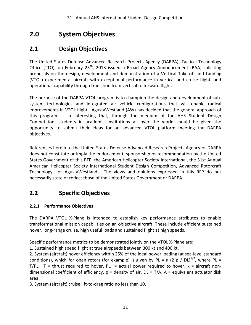# <span id="page-11-0"></span>**2.0 System Objectives**

# <span id="page-11-1"></span>**2.1 Design Objectives**

The United States Defense Advanced Research Projects Agency (DARPA), Tactical Technology Office (TTO), on February 25<sup>th</sup>, 2013 issued a Broad Agency Announcement (BAA) soliciting proposals on the design, development and demonstration of a Vertical Take-off and Landing (VTOL) experimental aircraft with exceptional performance in vertical and cruise flight, and operational capability through transition from vertical to forward flight.

The purpose of the DARPA VTOL program is to champion the design and development of subsystem technologies and integrated air vehicle configurations that will enable radical improvements in VTOL flight. AgustaWestland (AW) has decided that the general approach of this program is so interesting that, through the medium of the AHS Student Design Competition, students in academic institutions all over the world should be given the opportunity to submit their ideas for an advanced VTOL platform meeting the DARPA objectives.

References herein to the United States Defense Advanced Research Projects Agency or DARPA does not constitute or imply the endorsement, sponsorship or recommendation by the United States Government of this RFP, the American Helicopter Society International, the 31st Annual American Helicopter Society International Student Design Competition, Advanced Rotorcraft Technology or AgustaWestland. The views and opinions expressed in this RFP do not necessarily state or reflect those of the United States Government or DARPA.

# <span id="page-11-2"></span>**2.2 Specific Objectives**

### <span id="page-11-3"></span>**2.2.1 Performance Objectives**

The DARPA VTOL X-Plane is intended to establish key performance attributes to enable transformational mission capabilities on an objective aircraft. These include efficient sustained hover, long-range cruise, high useful loads and sustained flight at high speeds.

Specific performance metrics to be demonstrated jointly on the VTOL X-Plane are:

1. Sustained high speed flight at true airspeeds between 300 kt and 400 kt.

2. System (aircraft) hover efficiency within 25% of the ideal power loading (at sea-level standard conditions), which for open rotors (for example) is given by PL =  $\kappa$  (2  $\rho$  / DL)<sup>1/2</sup>, where PL = T/P<sub>act</sub>, T = thrust required to hover, P<sub>act</sub> = actual power required to hover, κ = aircraft nondimensional coefficient of efficiency,  $p =$  density of air,  $DL = T/A$ ,  $A =$  equivalent actuator disk area.

3. System (aircraft) cruise lift-to-drag ratio no less than 10.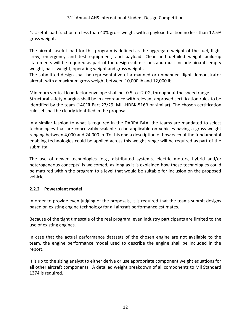4. Useful load fraction no less than 40% gross weight with a payload fraction no less than 12.5% gross weight.

The aircraft useful load for this program is defined as the aggregate weight of the fuel, flight crew, emergency and test equipment, and payload. Clear and detailed weight build-up statements will be required as part of the design submissions and must include aircraft empty weight, basic weight, operating weight and gross weights.

The submitted design shall be representative of a manned or unmanned flight demonstrator aircraft with a maximum gross weight between 10,000 lb and 12,000 lb.

Minimum vertical load factor envelope shall be -0.5 to +2.0G, throughout the speed range. Structural safety margins shall be in accordance with relevant approved certification rules to be identified by the team (14CFR Part 27/29; MIL-HDBK-516B or similar). The chosen certification rule set shall be clearly identified in the proposal.

In a similar fashion to what is required in the DARPA BAA, the teams are mandated to select technologies that are conceivably scalable to be applicable on vehicles having a gross weight ranging between 4,000 and 24,000 lb. To this end a description of how each of the fundamental enabling technologies could be applied across this weight range will be required as part of the submittal.

The use of newer technologies (e.g., distributed systems, electric motors, hybrid and/or heterogeneous concepts) is welcomed, as long as it is explained how these technologies could be matured within the program to a level that would be suitable for inclusion on the proposed vehicle.

#### <span id="page-12-0"></span>**2.2.2 Powerplant model**

In order to provide even judging of the proposals, it is required that the teams submit designs based on existing engine technology for all aircraft performance estimates.

Because of the tight timescale of the real program, even industry participants are limited to the use of existing engines.

In case that the actual performance datasets of the chosen engine are not available to the team, the engine performance model used to describe the engine shall be included in the report.

It is up to the sizing analyst to either derive or use appropriate component weight equations for all other aircraft components. A detailed weight breakdown of all components to Mil Standard 1374 is required.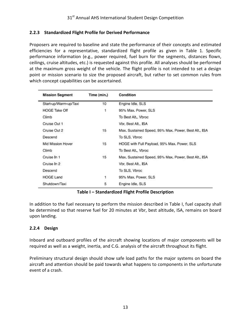#### <span id="page-13-0"></span>**2.2.3 Standardized Flight Profile for Derived Performance**

Proposers are required to baseline and state the performance of their concepts and estimated efficiencies for a representative, standardized flight profile as given in Table 1. Specific performance information (e.g., power required, fuel burn for the segments, distances flown, ceilings, cruise altitudes, etc.) is requested against this profile. All analyses should be performed at the maximum gross weight of the vehicle. The flight profile is not intended to set a design point or mission scenario to size the proposed aircraft, but rather to set common rules from which concept capabilities can be ascertained.

| <b>Mission Segment</b> | Time (min.)       | Condition                                            |  |
|------------------------|-------------------|------------------------------------------------------|--|
| Start-up/Warm-up/Taxi  | 10                | Engine Idle, SLS                                     |  |
| <b>HOGE Take Off</b>   | 1                 | 95% Max. Power, SLS                                  |  |
| Climb                  |                   | To Best Alt., Vbroc                                  |  |
| Cruise Out 1           |                   | Vbr, Best Alt., ISA                                  |  |
| Cruise Out 2           | 15                | Max. Sustained Speed, 95% Max. Power, Best Alt., ISA |  |
| Descend                |                   | To SLS, Vbroc                                        |  |
| Mid Mission Hover      | 15                | HOGE with Full Payload, 95% Max. Power, SLS          |  |
| Climb                  |                   | To Best Alt., Vbroc                                  |  |
| Cruise In 1            | <b>CASE</b><br>15 | Max, Sustained Speed, 95% Max, Power, Best Alt., ISA |  |
| Cruise In 2            |                   | Vbr, Best Alt., ISA                                  |  |
| Descend                |                   | To SLS, Vbroc                                        |  |
| <b>HOGE Land</b>       | 1                 | 95% Max. Power, SLS                                  |  |
| Shutdown/Taxi          | 5                 | Engine Idle, SLS                                     |  |

#### **Table I – Standardized Flight Profile Description**

In addition to the fuel necessary to perform the mission described in Table I, fuel capacity shall be determined so that reserve fuel for 20 minutes at Vbr, best altitude, ISA, remains on board upon landing.

#### <span id="page-13-1"></span>**2.2.4 Design**

Inboard and outboard profiles of the aircraft showing locations of major components will be required as well as a weight, inertia, and C.G. analysis of the aircraft throughout its flight.

Preliminary structural design should show safe load paths for the major systems on board the aircraft and attention should be paid towards what happens to components in the unfortunate event of a crash.